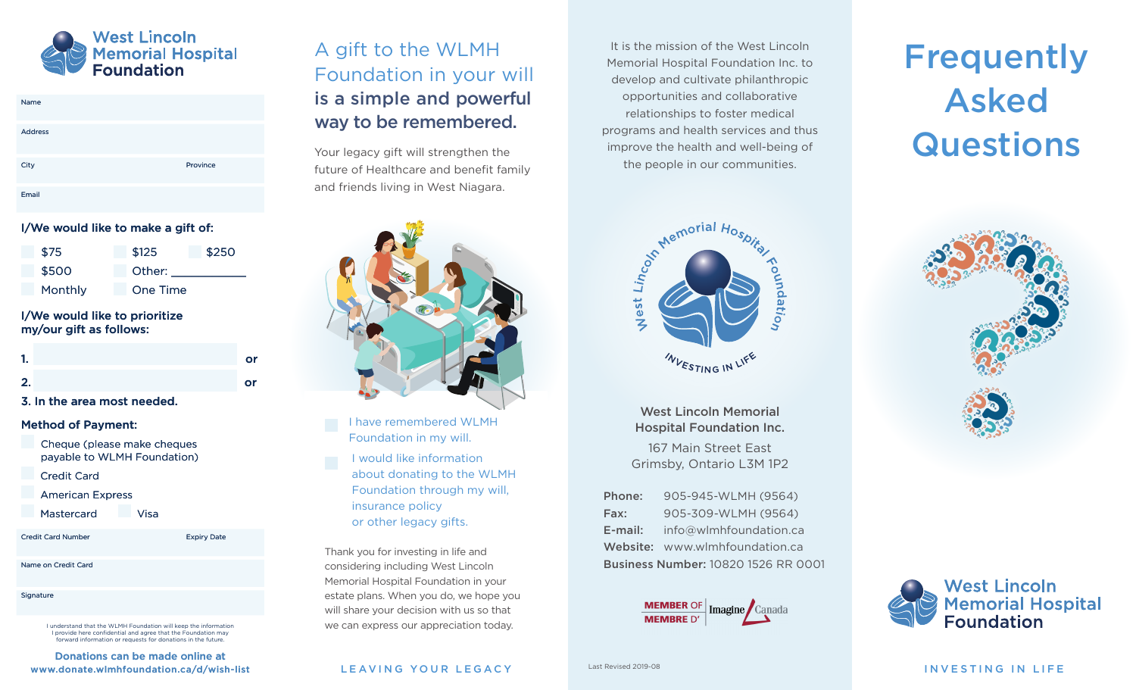

| Name           |          |
|----------------|----------|
| <b>Address</b> |          |
| City           | Province |
| Email          |          |

#### I/We would like to make a gift of:

| \$75    | \$125           | \$250 |
|---------|-----------------|-------|
| \$500   | Other:          |       |
| Monthly | <b>One Time</b> |       |

#### I/We would like to prioritize my/our gift as follows:

| Л, | or |
|----|----|
| 2. | or |

3. In the area most needed.

#### Method of Payment:

Cheque (please make cheques payable to WLMH Foundation)

- Credit Card
- American Express
- Mastercard Visa

| <b>Credit Card Number</b> |  |  |
|---------------------------|--|--|
|                           |  |  |

Name on Credit Card

**Signature** 

I understand that the WLMH Foundation will keep the information I provide here confidential and agree that the Foundation may prward information or requests for donations in the future.

Expiry Date

Donations can be made online at www.donate.wlmhfoundation.ca/d/wish-list

## A gift to the WLMH Foundation in your will is a simple and powerful way to be remembered.

Your legacy gift will strengthen the future of Healthcare and benefit family and friends living in West Niagara.



I have remembered WLMH Foundation in my will.

I would like information about donating to the WLMH Foundation through my will, insurance policy or other legacy gifts.

Thank you for investing in life and considering including West Lincoln Memorial Hospital Foundation in your estate plans. When you do, we hope you will share your decision with us so that we can express our appreciation today.

It is the mission of the West Lincoln Memorial Hospital Foundation Inc. to develop and cultivate philanthropic opportunities and collaborative relationships to foster medical programs and health services and thus improve the health and well-being of the people in our communities.

# **Frequently** Asked **Questions**



West Lincoln Memorial Hospital Foundation Inc.

167 Main Street East Grimsby, Ontario L3M 1P2

Phone: 905-945-WLMH (9564) Fax: 905-309-WLMH (9564) E-mail: info@wlmhfoundation.ca Website: www.wlmhfoundation.ca Business Number: 10820 1526 RR 0001







LEAVING YOUR LEGACY And the statewised 2019-08 and the statewise of the statewise of the statewise of the statewise of the statewise of the statewise of the statewise of the statewise of the statewise of the statewise of t